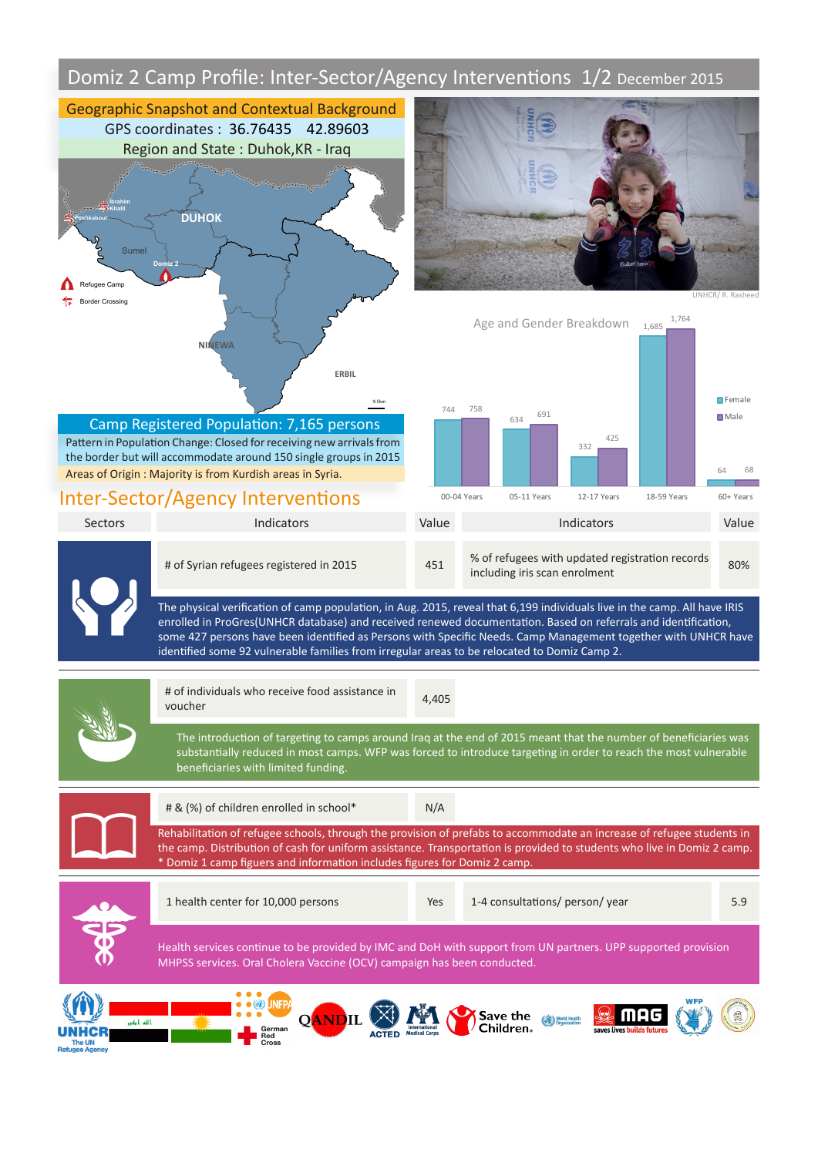## Domiz 2 Camp Profile: Inter-Sector/Agency Interventions 1/2 December 2015



## Inter-Sector/Agency Interventions

12





% of refugees with updated registration records % or related with updated registration records<br>including iris scan enrolment # of Syrian refugees registered in 2015 451

The physical verification of camp population, in Aug. 2015, reveal that 6,199 individuals live in the camp. All have IRIS enrolled in ProGres(UNHCR database) and received renewed documentation. Based on referrals and identification, some 427 persons have been identified as Persons with Specific Needs. Camp Management together with UNHCR have identified some 92 vulnerable families from irregular areas to be relocated to Domiz Camp 2.

|  | # of individuals who receive food assistance in<br>voucher                                                                                                                                                                                                                                                                    | 4,405 |                                 |     |
|--|-------------------------------------------------------------------------------------------------------------------------------------------------------------------------------------------------------------------------------------------------------------------------------------------------------------------------------|-------|---------------------------------|-----|
|  | The introduction of targeting to camps around Iraq at the end of 2015 meant that the number of beneficiaries was<br>substantially reduced in most camps. WFP was forced to introduce targeting in order to reach the most vulnerable<br>beneficiaries with limited funding.                                                   |       |                                 |     |
|  | # & (%) of children enrolled in school*                                                                                                                                                                                                                                                                                       | N/A   |                                 |     |
|  | Rehabilitation of refugee schools, through the provision of prefabs to accommodate an increase of refugee students in<br>the camp. Distribution of cash for uniform assistance. Transportation is provided to students who live in Domiz 2 camp.<br>* Domiz 1 camp figuers and information includes figures for Domiz 2 camp. |       |                                 |     |
|  | 1 health center for 10,000 persons                                                                                                                                                                                                                                                                                            | Yes   | 1-4 consultations/ person/ year | 5.9 |
|  | Health services continue to be provided by IMC and DoH with support from UN partners. UPP supported provision<br>MHPSS services. Oral Cholera Vaccine (OCV) campaign has been conducted.                                                                                                                                      |       |                                 |     |